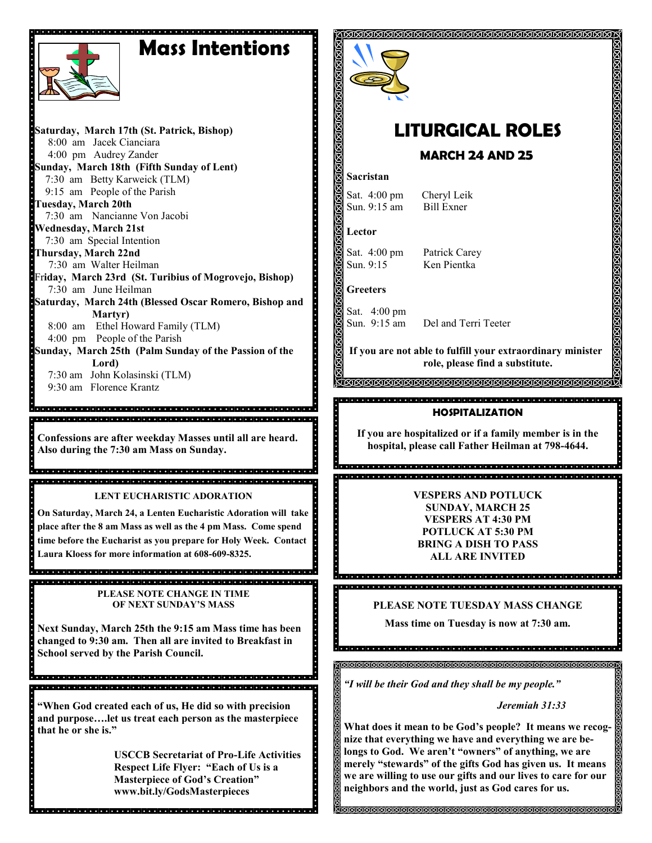# **Mass Intentions**



**Saturday, March 17th (St. Patrick, Bishop)** 8:00 am Jacek Cianciara 4:00 pm Audrey Zander **Sunday, March 18th (Fifth Sunday of Lent)** 7:30 am Betty Karweick (TLM) 9:15 am People of the Parish **Tuesday, March 20th** 7:30 am Nancianne Von Jacobi **Wednesday, March 21st** 7:30 am Special Intention **Thursday, March 22nd**  7:30 am Walter Heilman Fr**iday, March 23rd (St. Turibius of Mogrovejo, Bishop)** 7:30 am June Heilman **Saturday, March 24th (Blessed Oscar Romero, Bishop and Martyr)** 8:00 am Ethel Howard Family (TLM) 4:00 pm People of the Parish **Sunday, March 25th (Palm Sunday of the Passion of the Lord)** 7:30 am John Kolasinski (TLM) 9:30 am Florence Krantz  $\overline{\phantom{a}}$ 

**Confessions are after weekday Masses until all are heard. Also during the 7:30 am Mass on Sunday.**

**LENT EUCHARISTIC ADORATION**

**On Saturday, March 24, a Lenten Eucharistic Adoration will take place after the 8 am Mass as well as the 4 pm Mass. Come spend time before the Eucharist as you prepare for Holy Week. Contact Laura Kloess for more information at 608-609-8325.**

**PLEASE NOTE CHANGE IN TIME OF NEXT SUNDAY'S MASS**

**Next Sunday, March 25th the 9:15 am Mass time has been changed to 9:30 am. Then all are invited to Breakfast in School served by the Parish Council.** 

a di sebuah sebuah sebuah sebuah seb

**"When God created each of us, He did so with precision and purpose….let us treat each person as the masterpiece that he or she is."**

le joie le référielle le joie le totelle re le terre le terre le terre le terre le terre le terre le terre le terre le terre le

**USCCB Secretariat of Pro-Life Activities Respect Life Flyer: "Each of Us is a Masterpiece of God's Creation" www.bit.ly/GodsMasterpieces**



# **LITURGICAL ROLES**

# **MARCH 24 AND 25**

### **Sacristan**

Sat. 4:00 pm Cheryl Leik<br>Sun 9:15 am Bill Exner Sun.  $9:15$  am

**Lector**

Sat. 4:00 pm Patrick Carey Sun. 9:15 Ken Pientka

**Greeters**

Sat. 4:00 pm Sun. 9:15 am Del and Terri Teeter

**If you are not able to fulfill your extraordinary minister role, please find a substitute.** 

<u> MMMMMMMMMMMMMMMMMMMMM</u>

### **HOSPITALIZATION**

**If you are hospitalized or if a family member is in the hospital, please call Father Heilman at 798-4644.**

ă<br>Documento de secundare de consegue de consegue de consegue de secundare. 

> **VESPERS AND POTLUCK SUNDAY, MARCH 25 VESPERS AT 4:30 PM POTLUCK AT 5:30 PM BRING A DISH TO PASS ALL ARE INVITED**

**PLEASE NOTE TUESDAY MASS CHANGE**

**Mass time on Tuesday is now at 7:30 am.**

*"I will be their God and they shall be my people."*

*Jeremiah 31:33*

**What does it mean to be God's people? It means we recognize that everything we have and everything we are belongs to God. We aren't "owners" of anything, we are merely "stewards" of the gifts God has given us. It means we are willing to use our gifts and our lives to care for our neighbors and the world, just as God cares for us.**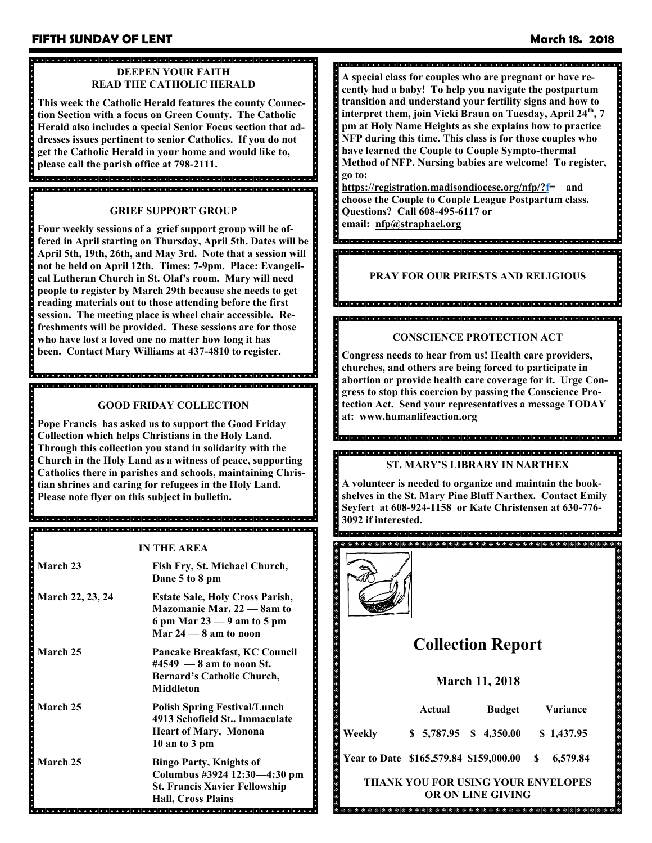## **FIFTH SUNDAY OF LENT March 18. 2018**

## **DEEPEN YOUR FAITH READ THE CATHOLIC HERALD**

**This week the Catholic Herald features the county Connection Section with a focus on Green County. The Catholic Herald also includes a special Senior Focus section that addresses issues pertinent to senior Catholics. If you do not get the Catholic Herald in your home and would like to, please call the parish office at 798-2111.**

#### **GRIEF SUPPORT GROUP**

in kakai kakai kakai kakai kakai kakai kakai kakai kakai kakai kakai kakai kakai kakai kakai kakai kakai kakai

**Four weekly sessions of a grief support group will be offered in April starting on Thursday, April 5th. Dates will be April 5th, 19th, 26th, and May 3rd. Note that a session will not be held on April 12th. Times: 7-9pm. Place: Evangelical Lutheran Church in St. Olaf's room. Mary will need people to register by March 29th because she needs to get reading materials out to those attending before the first session. The meeting place is wheel chair accessible. Refreshments will be provided. These sessions are for those who have lost a loved one no matter how long it has been. Contact Mary Williams at 437-4810 to register.**

## **GOOD FRIDAY COLLECTION**

<u>istola dia talafatata latafatata latafatata latafatata dia talafatata latafatata latafatata latafatata latafat</u>

**Pope Francis has asked us to support the Good Friday Collection which helps Christians in the Holy Land. Through this collection you stand in solidarity with the Church in the Holy Land as a witness of peace, supporting Catholics there in parishes and schools, maintaining Christian shrines and caring for refugees in the Holy Land. Please note flyer on this subject in bulletin.** 

a la la la fata la la la fata la fata la fata la fata la fata la fata la fata la fata la fata la fata la fata la fata la 

**IN THE AREA March 23 Fish Fry, St. Michael Church, Dane 5 to 8 pm March 22, 23, 24 Estate Sale, Holy Cross Parish, Mazomanie Mar. 22 — 8am to 6 pm Mar 23 — 9 am to 5 pm Mar 24 — 8 am to noon March 25 Pancake Breakfast, KC Council #4549 — 8 am to noon St. Bernard's Catholic Church, Middleton March 25 Polish Spring Festival/Lunch 4913 Schofield St.. Immaculate Heart of Mary, Monona 10 an to 3 pm March 25 Bingo Party, Knights of Columbus #3924 12:30—4:30 pm St. Francis Xavier Fellowship**

**Hall, Cross Plains**

## 

**A special class for couples who are pregnant or have recently had a baby! To help you navigate the postpartum transition and understand your fertility signs and how to interpret them, join Vicki Braun on Tuesday, April 24th, 7 pm at Holy Name Heights as she explains how to practice NFP during this time. This class is for those couples who have learned the Couple to Couple Sympto-thermal Method of NFP. Nursing babies are welcome! To register, go to:**

**[https://registration.madisondiocese.org/nfp/?f=](https://registration.madisondiocese.org/nfp/?f) and choose the Couple to Couple League Postpartum class. Questions? Call 608-495-6117 or email: [nfp@straphael.org](mailto:nfp@straphael.org)**

## **PRAY FOR OUR PRIESTS AND RELIGIOUS**

s<br>Secondo de la decidad de la decidad de la decidad de la decidad de la decidad de la decida

## **CONSCIENCE PROTECTION ACT**

**Congress needs to hear from us! Health care providers, churches, and others are being forced to participate in abortion or provide health care coverage for it. Urge Congress to stop this coercion by passing the Conscience Protection Act. Send your representatives a message TODAY at: www.humanlifeaction.org**

## en<br>Sociología de la dialección de la dialección de la dialección de la dialección de la dialección de la dialecci

**ST. MARY'S LIBRARY IN NARTHEX**

**A volunteer is needed to organize and maintain the bookshelves in the St. Mary Pine Bluff Narthex. Contact Emily Seyfert at 608-924-1158 or Kate Christensen at 630-776- 3092 if interested.** 



. . . . . . . . . . . . . . . . .

# **Collection Report**

#### **March 11, 2018**

|                                           | Actual |                                           | <b>Budget</b> |  | Variance |            |
|-------------------------------------------|--------|-------------------------------------------|---------------|--|----------|------------|
| Weekly                                    |        | $$5,787.95$ $$4,350.00$                   |               |  |          | \$1,437.95 |
| Year to Date \$165,579.84 \$159,000.00 \$ |        |                                           |               |  |          | 6,579.84   |
|                                           |        | <b>THANK YOU FOR USING YOUR ENVELOPES</b> |               |  |          |            |

**OR ON LINE GIVING**